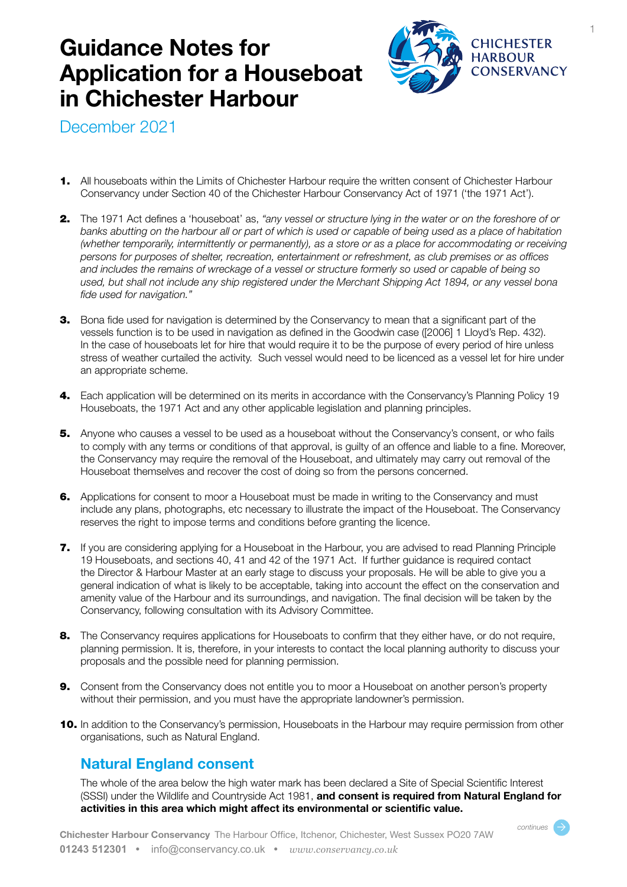## **Guidance Notes for Application for a Houseboat in Chichester Harbour**



December 2021

- 1. All houseboats within the Limits of Chichester Harbour require the written consent of Chichester Harbour Conservancy under Section 40 of the Chichester Harbour Conservancy Act of 1971 ('the 1971 Act').
- 2. The 1971 Act defines a 'houseboat' as, *"any vessel or structure lying in the water or on the foreshore of or banks abutting on the harbour all or part of which is used or capable of being used as a place of habitation (whether temporarily, intermittently or permanently), as a store or as a place for accommodating or receiving persons for purposes of shelter, recreation, entertainment or refreshment, as club premises or as offices and includes the remains of wreckage of a vessel or structure formerly so used or capable of being so used, but shall not include any ship registered under the Merchant Shipping Act 1894, or any vessel bona fide used for navigation."*
- **3.** Bona fide used for navigation is determined by the Conservancy to mean that a significant part of the vessels function is to be used in navigation as defined in the Goodwin case ([2006] 1 Lloyd's Rep. 432). In the case of houseboats let for hire that would require it to be the purpose of every period of hire unless stress of weather curtailed the activity. Such vessel would need to be licenced as a vessel let for hire under an appropriate scheme.
- 4. Each application will be determined on its merits in accordance with the Conservancy's Planning Policy 19 Houseboats, the 1971 Act and any other applicable legislation and planning principles.
- **5.** Anyone who causes a vessel to be used as a houseboat without the Conservancy's consent, or who fails to comply with any terms or conditions of that approval, is guilty of an offence and liable to a fine. Moreover, the Conservancy may require the removal of the Houseboat, and ultimately may carry out removal of the Houseboat themselves and recover the cost of doing so from the persons concerned.
- **6.** Applications for consent to moor a Houseboat must be made in writing to the Conservancy and must include any plans, photographs, etc necessary to illustrate the impact of the Houseboat. The Conservancy reserves the right to impose terms and conditions before granting the licence.
- 7. If you are considering applying for a Houseboat in the Harbour, you are advised to read Planning Principle 19 Houseboats, and sections 40, 41 and 42 of the 1971 Act. If further guidance is required contact the Director & Harbour Master at an early stage to discuss your proposals. He will be able to give you a general indication of what is likely to be acceptable, taking into account the effect on the conservation and amenity value of the Harbour and its surroundings, and navigation. The final decision will be taken by the Conservancy, following consultation with its Advisory Committee.
- 8. The Conservancy requires applications for Houseboats to confirm that they either have, or do not require, planning permission. It is, therefore, in your interests to contact the local planning authority to discuss your proposals and the possible need for planning permission.
- 9. Consent from the Conservancy does not entitle you to moor a Houseboat on another person's property without their permission, and you must have the appropriate landowner's permission.
- 10. In addition to the Conservancy's permission, Houseboats in the Harbour may require permission from other organisations, such as Natural England.

### **Natural England consent**

The whole of the area below the high water mark has been declared a Site of Special Scientific Interest (SSSI) under the Wildlife and Countryside Act 1981, **and consent is required from Natural England for activities in this area which might affect its environmental or scientific value.**

*continues*  $\rightarrow$ 

1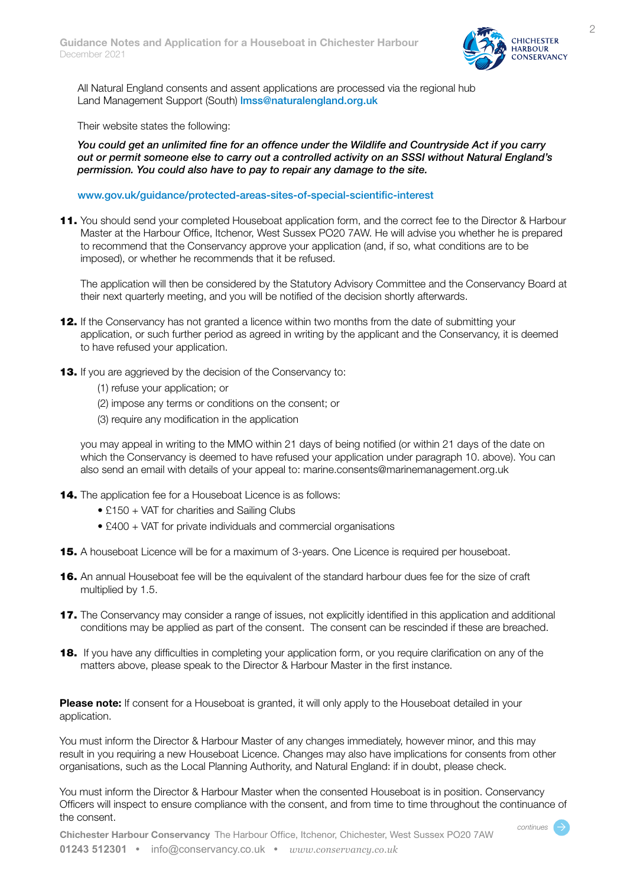

All Natural England consents and assent applications are processed via the regional hub Land Management Support (South) Imss@naturalengland.org.uk

Their website states the following:

*You could get an unlimited fine for an offence under the Wildlife and Countryside Act if you carry out or permit someone else to carry out a controlled activity on an SSSI without Natural England's permission. You could also have to pay to repair any damage to the site.* 

#### www.gov.uk/guidance/protected-areas-sites-of-special-scientific-interest

11. You should send your completed Houseboat application form, and the correct fee to the Director & Harbour Master at the Harbour Office, Itchenor, West Sussex PO20 7AW. He will advise you whether he is prepared to recommend that the Conservancy approve your application (and, if so, what conditions are to be imposed), or whether he recommends that it be refused.

The application will then be considered by the Statutory Advisory Committee and the Conservancy Board at their next quarterly meeting, and you will be notified of the decision shortly afterwards.

- **12.** If the Conservancy has not granted a licence within two months from the date of submitting your application, or such further period as agreed in writing by the applicant and the Conservancy, it is deemed to have refused your application.
- **13.** If you are aggrieved by the decision of the Conservancy to:
	- (1) refuse your application; or
	- (2) impose any terms or conditions on the consent; or
	- (3) require any modification in the application

you may appeal in writing to the MMO within 21 days of being notified (or within 21 days of the date on which the Conservancy is deemed to have refused your application under paragraph 10. above). You can also send an email with details of your appeal to: marine.consents@marinemanagement.org.uk

- 14. The application fee for a Houseboat Licence is as follows:
	- £150 + VAT for charities and Sailing Clubs
	- £400 + VAT for private individuals and commercial organisations
- **15.** A houseboat Licence will be for a maximum of 3-years. One Licence is required per houseboat.
- **16.** An annual Houseboat fee will be the equivalent of the standard harbour dues fee for the size of craft multiplied by 1.5.
- **17.** The Conservancy may consider a range of issues, not explicitly identified in this application and additional conditions may be applied as part of the consent. The consent can be rescinded if these are breached.
- **18.** If you have any difficulties in completing your application form, or you require clarification on any of the matters above, please speak to the Director & Harbour Master in the first instance.

**Please note:** If consent for a Houseboat is granted, it will only apply to the Houseboat detailed in your application.

You must inform the Director & Harbour Master of any changes immediately, however minor, and this may result in you requiring a new Houseboat Licence. Changes may also have implications for consents from other organisations, such as the Local Planning Authority, and Natural England: if in doubt, please check.

You must inform the Director & Harbour Master when the consented Houseboat is in position. Conservancy Officers will inspect to ensure compliance with the consent, and from time to time throughout the continuance of the consent.

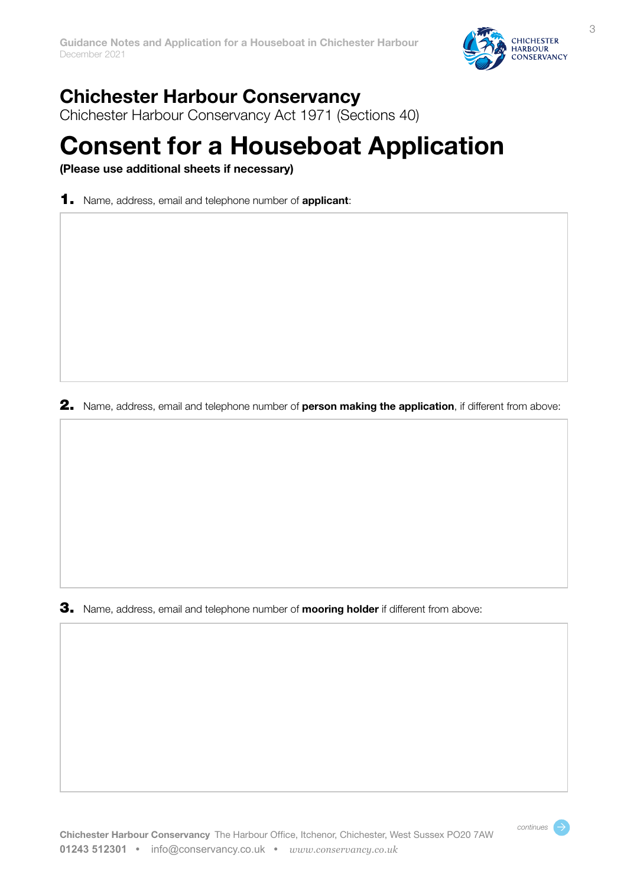

continues  $\rightarrow$ 

## **Chichester Harbour Conservancy**

Chichester Harbour Conservancy Act 1971 (Sections 40)

# **Consent for a Houseboat Application**

**(Please use additional sheets if necessary)**

1. Name, address, email and telephone number of **applicant**:

2. Name, address, email and telephone number of **person making the application**, if different from above:

3. Name, address, email and telephone number of **mooring holder** if different from above: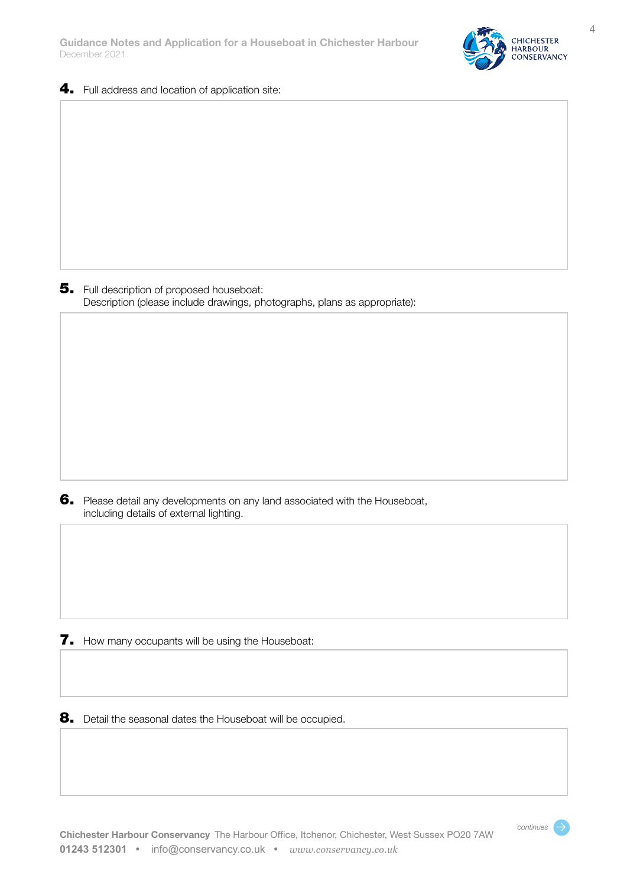

- 
- 4. Full address and location of application site:

5. Full description of proposed houseboat: Description (please include drawings, photographs, plans as appropriate):

6. Please detail any developments on any land associated with the Houseboat, including details of external lighting.

**7.** How many occupants will be using the Houseboat:

8. Detail the seasonal dates the Houseboat will be occupied.